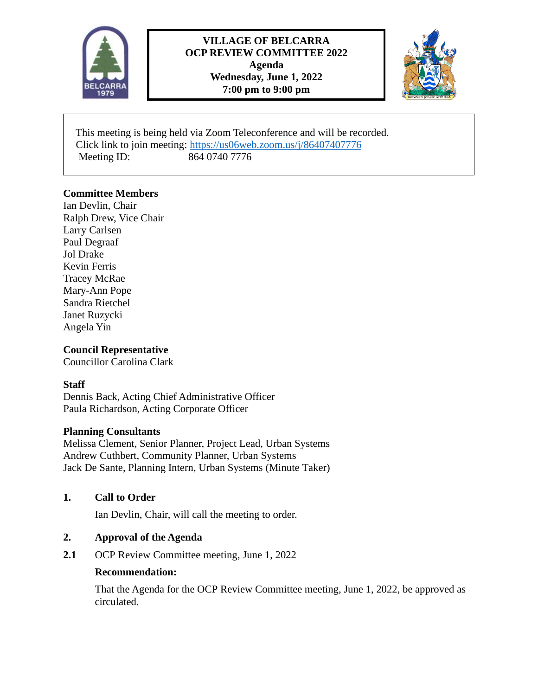

# **VILLAGE OF BELCARRA OCP REVIEW COMMITTEE 2022 Agenda Wednesday, June 1, 2022 7:00 pm to 9:00 pm**



 This meeting is being held via Zoom Teleconference and will be recorded. Click link to join meeting:<https://us06web.zoom.us/j/86407407776> Meeting ID: 864 0740 7776

# **Committee Members**

Ian Devlin, Chair Ralph Drew, Vice Chair Larry Carlsen Paul Degraaf Jol Drake Kevin Ferris Tracey McRae Mary-Ann Pope Sandra Rietchel Janet Ruzycki Angela Yin

# **Council Representative**

Councillor Carolina Clark

### **Staff**

Dennis Back, Acting Chief Administrative Officer Paula Richardson, Acting Corporate Officer

### **Planning Consultants**

Melissa Clement, Senior Planner, Project Lead, Urban Systems Andrew Cuthbert, Community Planner, Urban Systems Jack De Sante, Planning Intern, Urban Systems (Minute Taker)

### **1. Call to Order**

Ian Devlin, Chair, will call the meeting to order.

### **2. Approval of the Agenda**

**2.1** OCP Review Committee meeting, June 1, 2022

### **Recommendation:**

That the Agenda for the OCP Review Committee meeting, June 1, 2022, be approved as circulated.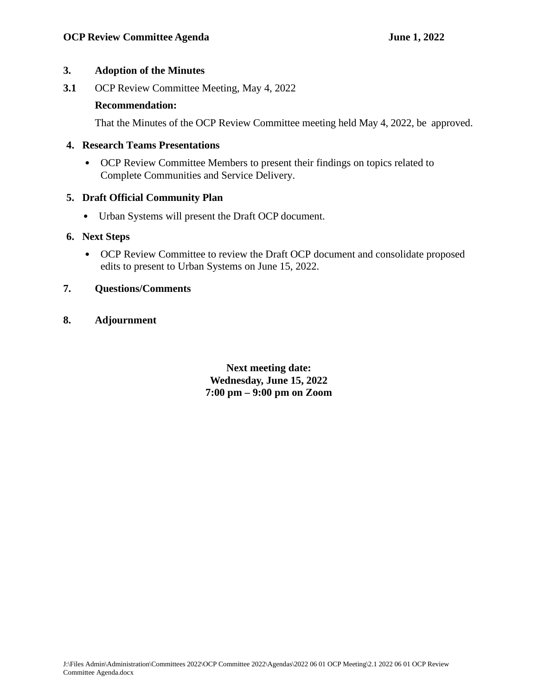# **3. Adoption of the Minutes**

**3.1** OCP Review Committee Meeting, May 4, 2022

### **Recommendation:**

That the Minutes of the OCP Review Committee meeting held May 4, 2022, be approved.

# **4. Research Teams Presentations**

• OCP Review Committee Members to present their findings on topics related to Complete Communities and Service Delivery.

# **5. Draft Official Community Plan**

• Urban Systems will present the Draft OCP document.

# **6. Next Steps**

• OCP Review Committee to review the Draft OCP document and consolidate proposed edits to present to Urban Systems on June 15, 2022.

# **7. Questions/Comments**

**8. Adjournment**

**Next meeting date: Wednesday, June 15, 2022 7:00 pm – 9:00 pm on Zoom**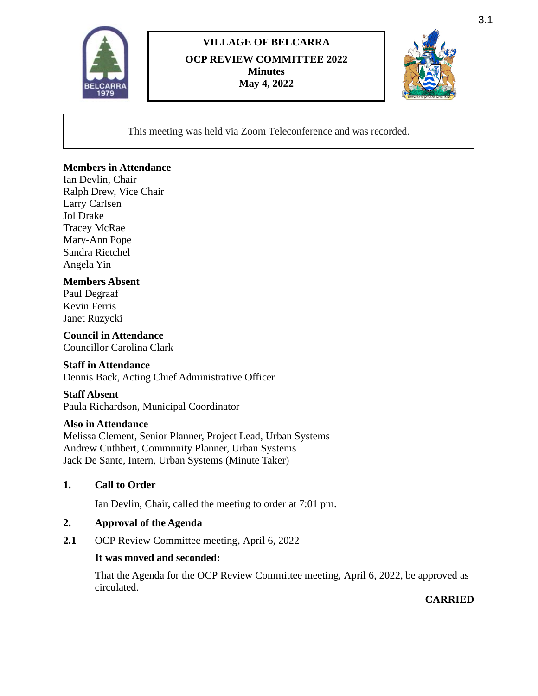

# **VILLAGE OF BELCARRA OCP REVIEW COMMITTEE 2022 Minutes May 4, 2022**



This meeting was held via Zoom Teleconference and was recorded.

# **Members in Attendance**

Ian Devlin, Chair Ralph Drew, Vice Chair Larry Carlsen Jol Drake Tracey McRae Mary-Ann Pope Sandra Rietchel Angela Yin

# **Members Absent**

Paul Degraaf Kevin Ferris Janet Ruzycki

**Council in Attendance** Councillor Carolina Clark

### **Staff in Attendance**

Dennis Back, Acting Chief Administrative Officer

### **Staff Absent**

Paula Richardson, Municipal Coordinator

#### **Also in Attendance**

Melissa Clement, Senior Planner, Project Lead, Urban Systems Andrew Cuthbert, Community Planner, Urban Systems Jack De Sante, Intern, Urban Systems (Minute Taker)

### **1. Call to Order**

Ian Devlin, Chair, called the meeting to order at 7:01 pm.

#### **2. Approval of the Agenda**

2.1 OCP Review Committee meeting, April 6, 2022

### **It was moved and seconded:**

That the Agenda for the OCP Review Committee meeting, April 6, 2022, be approved as circulated.

### **CARRIED**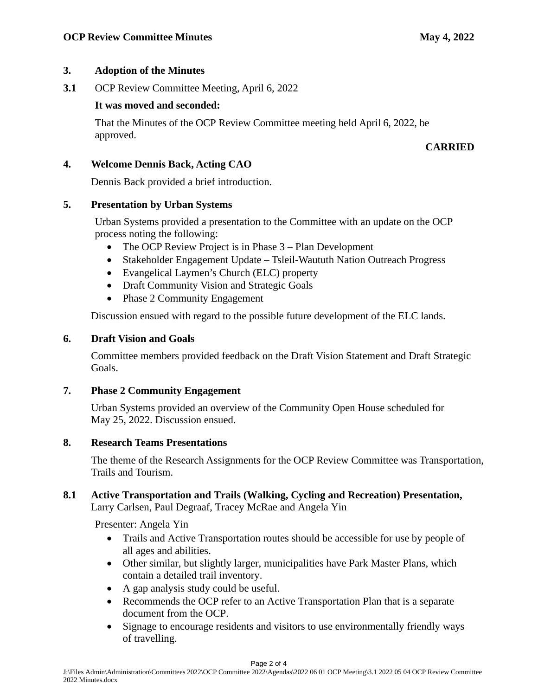# **3. Adoption of the Minutes**

**3.1** OCP Review Committee Meeting, April 6, 2022

### **It was moved and seconded:**

That the Minutes of the OCP Review Committee meeting held April 6, 2022, be approved.

# **CARRIED**

# **4. Welcome Dennis Back, Acting CAO**

Dennis Back provided a brief introduction.

# **5. Presentation by Urban Systems**

Urban Systems provided a presentation to the Committee with an update on the OCP process noting the following:

- The OCP Review Project is in Phase 3 Plan Development
- Stakeholder Engagement Update Tsleil-Waututh Nation Outreach Progress
- Evangelical Laymen's Church (ELC) property
- Draft Community Vision and Strategic Goals
- Phase 2 Community Engagement

Discussion ensued with regard to the possible future development of the ELC lands.

# **6. Draft Vision and Goals**

Committee members provided feedback on the Draft Vision Statement and Draft Strategic Goals.

# **7. Phase 2 Community Engagement**

Urban Systems provided an overview of the Community Open House scheduled for May 25, 2022. Discussion ensued.

### **8. Research Teams Presentations**

The theme of the Research Assignments for the OCP Review Committee was Transportation, Trails and Tourism.

### **8.1 Active Transportation and Trails (Walking, Cycling and Recreation) Presentation,**  Larry Carlsen, Paul Degraaf, Tracey McRae and Angela Yin

Presenter: Angela Yin

- Trails and Active Transportation routes should be accessible for use by people of all ages and abilities.
- Other similar, but slightly larger, municipalities have Park Master Plans, which contain a detailed trail inventory.
- A gap analysis study could be useful.
- Recommends the OCP refer to an Active Transportation Plan that is a separate document from the OCP.
- Signage to encourage residents and visitors to use environmentally friendly ways of travelling.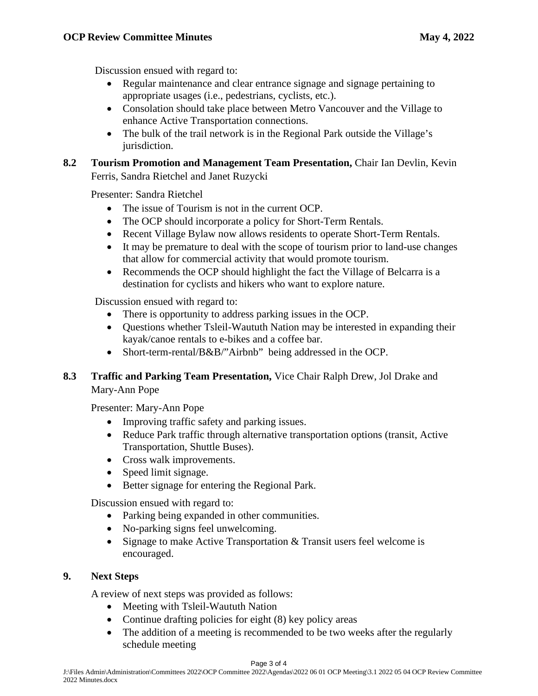Discussion ensued with regard to:

- Regular maintenance and clear entrance signage and signage pertaining to appropriate usages (i.e., pedestrians, cyclists, etc.).
- Consolation should take place between Metro Vancouver and the Village to enhance Active Transportation connections.
- The bulk of the trail network is in the Regional Park outside the Village's jurisdiction.

# **8.2 Tourism Promotion and Management Team Presentation,** Chair Ian Devlin, Kevin Ferris, Sandra Rietchel and Janet Ruzycki

Presenter: Sandra Rietchel

- The issue of Tourism is not in the current OCP.
- The OCP should incorporate a policy for Short-Term Rentals.
- Recent Village Bylaw now allows residents to operate Short-Term Rentals.
- It may be premature to deal with the scope of tourism prior to land-use changes that allow for commercial activity that would promote tourism.
- Recommends the OCP should highlight the fact the Village of Belcarra is a destination for cyclists and hikers who want to explore nature.

Discussion ensued with regard to:

- There is opportunity to address parking issues in the OCP.
- Questions whether Tsleil-Waututh Nation may be interested in expanding their kayak/canoe rentals to e-bikes and a coffee bar.
- Short-term-rental/B&B/"Airbnb" being addressed in the OCP.

# **8.3 Traffic and Parking Team Presentation,** Vice Chair Ralph Drew, Jol Drake and Mary-Ann Pope

Presenter: Mary-Ann Pope

- Improving traffic safety and parking issues.
- Reduce Park traffic through alternative transportation options (transit, Active Transportation, Shuttle Buses).
- Cross walk improvements.
- Speed limit signage.
- Better signage for entering the Regional Park.

Discussion ensued with regard to:

- Parking being expanded in other communities.
- No-parking signs feel unwelcoming.
- Signage to make Active Transportation & Transit users feel welcome is encouraged.

### **9. Next Steps**

A review of next steps was provided as follows:

- Meeting with Tsleil-Waututh Nation
- Continue drafting policies for eight (8) key policy areas
- The addition of a meeting is recommended to be two weeks after the regularly schedule meeting